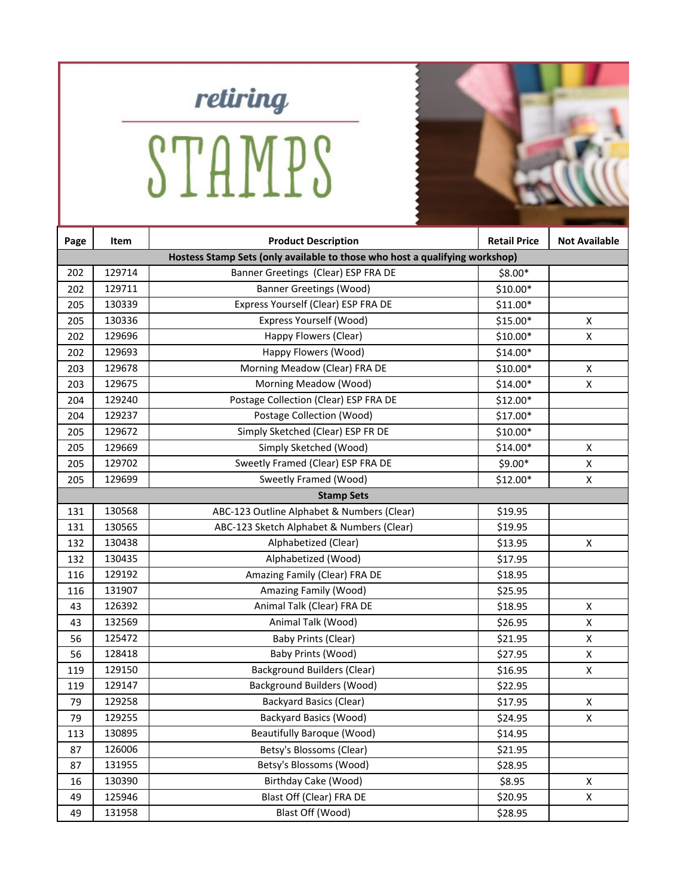

STAMPS

| Page | Item                                                                        | <b>Product Description</b>                 | <b>Retail Price</b> | <b>Not Available</b> |  |  |
|------|-----------------------------------------------------------------------------|--------------------------------------------|---------------------|----------------------|--|--|
|      | Hostess Stamp Sets (only available to those who host a qualifying workshop) |                                            |                     |                      |  |  |
| 202  | 129714                                                                      | Banner Greetings (Clear) ESP FRA DE        | \$8.00*             |                      |  |  |
| 202  | 129711                                                                      | <b>Banner Greetings (Wood)</b>             | $$10.00*$           |                      |  |  |
| 205  | 130339                                                                      | Express Yourself (Clear) ESP FRA DE        | $$11.00*$           |                      |  |  |
| 205  | 130336                                                                      | Express Yourself (Wood)                    | \$15.00*            | X                    |  |  |
| 202  | 129696                                                                      | Happy Flowers (Clear)                      | $$10.00*$           | X                    |  |  |
| 202  | 129693                                                                      | Happy Flowers (Wood)                       | $$14.00*$           |                      |  |  |
| 203  | 129678                                                                      | Morning Meadow (Clear) FRA DE              | $$10.00*$           | X                    |  |  |
| 203  | 129675                                                                      | Morning Meadow (Wood)                      | \$14.00*            | X                    |  |  |
| 204  | 129240                                                                      | Postage Collection (Clear) ESP FRA DE      | $$12.00*$           |                      |  |  |
| 204  | 129237                                                                      | Postage Collection (Wood)                  | $$17.00*$           |                      |  |  |
| 205  | 129672                                                                      | Simply Sketched (Clear) ESP FR DE          | $$10.00*$           |                      |  |  |
| 205  | 129669                                                                      | Simply Sketched (Wood)                     | $$14.00*$           | X                    |  |  |
| 205  | 129702                                                                      | Sweetly Framed (Clear) ESP FRA DE          | $$9.00*$            | X                    |  |  |
| 205  | 129699                                                                      | Sweetly Framed (Wood)                      | $$12.00*$           | X                    |  |  |
|      | <b>Stamp Sets</b>                                                           |                                            |                     |                      |  |  |
| 131  | 130568                                                                      | ABC-123 Outline Alphabet & Numbers (Clear) | \$19.95             |                      |  |  |
| 131  | 130565                                                                      | ABC-123 Sketch Alphabet & Numbers (Clear)  | \$19.95             |                      |  |  |
| 132  | 130438                                                                      | Alphabetized (Clear)                       | \$13.95             | X                    |  |  |
| 132  | 130435                                                                      | Alphabetized (Wood)                        | \$17.95             |                      |  |  |
| 116  | 129192                                                                      | Amazing Family (Clear) FRA DE              | \$18.95             |                      |  |  |
| 116  | 131907                                                                      | Amazing Family (Wood)                      | \$25.95             |                      |  |  |
| 43   | 126392                                                                      | Animal Talk (Clear) FRA DE                 | \$18.95             | X                    |  |  |
| 43   | 132569                                                                      | Animal Talk (Wood)                         | \$26.95             | $\pmb{\mathsf{X}}$   |  |  |
| 56   | 125472                                                                      | <b>Baby Prints (Clear)</b>                 | \$21.95             | X                    |  |  |
| 56   | 128418                                                                      | Baby Prints (Wood)                         | \$27.95             | X                    |  |  |
| 119  | 129150                                                                      | <b>Background Builders (Clear)</b>         | \$16.95             | X                    |  |  |
| 119  | 129147                                                                      | <b>Background Builders (Wood)</b>          | \$22.95             |                      |  |  |
| 79   | 129258                                                                      | <b>Backyard Basics (Clear)</b>             | \$17.95             | Χ                    |  |  |
| 79   | 129255                                                                      | <b>Backyard Basics (Wood)</b>              | \$24.95             | X                    |  |  |
| 113  | 130895                                                                      | <b>Beautifully Baroque (Wood)</b>          | \$14.95             |                      |  |  |
| 87   | 126006                                                                      | Betsy's Blossoms (Clear)                   | \$21.95             |                      |  |  |
| 87   | 131955                                                                      | Betsy's Blossoms (Wood)                    | \$28.95             |                      |  |  |
| 16   | 130390                                                                      | Birthday Cake (Wood)                       | \$8.95              | X                    |  |  |
| 49   | 125946                                                                      | Blast Off (Clear) FRA DE                   | \$20.95             | $\pmb{\mathsf{X}}$   |  |  |
| 49   | 131958                                                                      | Blast Off (Wood)                           | \$28.95             |                      |  |  |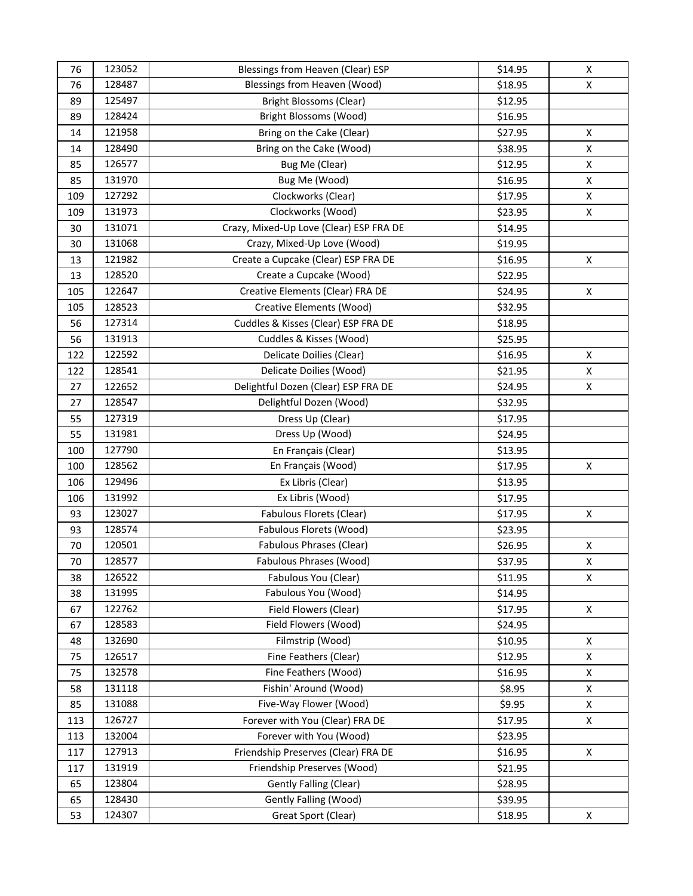| 76  | 123052 | Blessings from Heaven (Clear) ESP       | \$14.95 | Χ            |
|-----|--------|-----------------------------------------|---------|--------------|
| 76  | 128487 | Blessings from Heaven (Wood)            | \$18.95 | X            |
| 89  | 125497 | <b>Bright Blossoms (Clear)</b>          | \$12.95 |              |
| 89  | 128424 | Bright Blossoms (Wood)                  | \$16.95 |              |
| 14  | 121958 | Bring on the Cake (Clear)               | \$27.95 | X            |
| 14  | 128490 | Bring on the Cake (Wood)                | \$38.95 | X            |
| 85  | 126577 | Bug Me (Clear)                          | \$12.95 | X            |
| 85  | 131970 | Bug Me (Wood)                           | \$16.95 | X            |
| 109 | 127292 | Clockworks (Clear)                      | \$17.95 | X            |
| 109 | 131973 | Clockworks (Wood)                       | \$23.95 | X            |
| 30  | 131071 | Crazy, Mixed-Up Love (Clear) ESP FRA DE | \$14.95 |              |
| 30  | 131068 | Crazy, Mixed-Up Love (Wood)             | \$19.95 |              |
| 13  | 121982 | Create a Cupcake (Clear) ESP FRA DE     | \$16.95 | X            |
| 13  | 128520 | Create a Cupcake (Wood)                 | \$22.95 |              |
| 105 | 122647 | Creative Elements (Clear) FRA DE        | \$24.95 | X            |
| 105 | 128523 | Creative Elements (Wood)                | \$32.95 |              |
| 56  | 127314 | Cuddles & Kisses (Clear) ESP FRA DE     | \$18.95 |              |
| 56  | 131913 | Cuddles & Kisses (Wood)                 | \$25.95 |              |
| 122 | 122592 | Delicate Doilies (Clear)                | \$16.95 | X            |
| 122 | 128541 | Delicate Doilies (Wood)                 | \$21.95 | X            |
| 27  | 122652 | Delightful Dozen (Clear) ESP FRA DE     | \$24.95 | X            |
| 27  | 128547 | Delightful Dozen (Wood)                 | \$32.95 |              |
| 55  | 127319 | Dress Up (Clear)                        | \$17.95 |              |
| 55  | 131981 | Dress Up (Wood)                         | \$24.95 |              |
| 100 | 127790 | En Français (Clear)                     | \$13.95 |              |
| 100 | 128562 | En Français (Wood)                      | \$17.95 | X            |
| 106 | 129496 | Ex Libris (Clear)                       | \$13.95 |              |
| 106 | 131992 | Ex Libris (Wood)                        | \$17.95 |              |
| 93  | 123027 | Fabulous Florets (Clear)                | \$17.95 | Χ            |
| 93  | 128574 | Fabulous Florets (Wood)                 | \$23.95 |              |
| 70  | 120501 | Fabulous Phrases (Clear)                | \$26.95 | X            |
| 70  | 128577 | Fabulous Phrases (Wood)                 | \$37.95 | X            |
| 38  | 126522 | Fabulous You (Clear)                    | \$11.95 | X            |
| 38  | 131995 | Fabulous You (Wood)                     | \$14.95 |              |
| 67  | 122762 | Field Flowers (Clear)                   | \$17.95 | $\mathsf{X}$ |
| 67  | 128583 | Field Flowers (Wood)                    | \$24.95 |              |
| 48  | 132690 | Filmstrip (Wood)                        | \$10.95 | X            |
| 75  | 126517 | Fine Feathers (Clear)                   | \$12.95 | $\mathsf{x}$ |
| 75  | 132578 | Fine Feathers (Wood)                    | \$16.95 | $\mathsf{X}$ |
| 58  | 131118 | Fishin' Around (Wood)                   | \$8.95  | X            |
| 85  | 131088 | Five-Way Flower (Wood)                  | \$9.95  | $\mathsf{x}$ |
| 113 | 126727 | Forever with You (Clear) FRA DE         | \$17.95 | X            |
| 113 | 132004 | Forever with You (Wood)                 | \$23.95 |              |
| 117 | 127913 | Friendship Preserves (Clear) FRA DE     | \$16.95 | X            |
| 117 | 131919 | Friendship Preserves (Wood)             | \$21.95 |              |
| 65  | 123804 | Gently Falling (Clear)                  | \$28.95 |              |
| 65  | 128430 | <b>Gently Falling (Wood)</b>            | \$39.95 |              |
| 53  | 124307 | Great Sport (Clear)                     | \$18.95 | X            |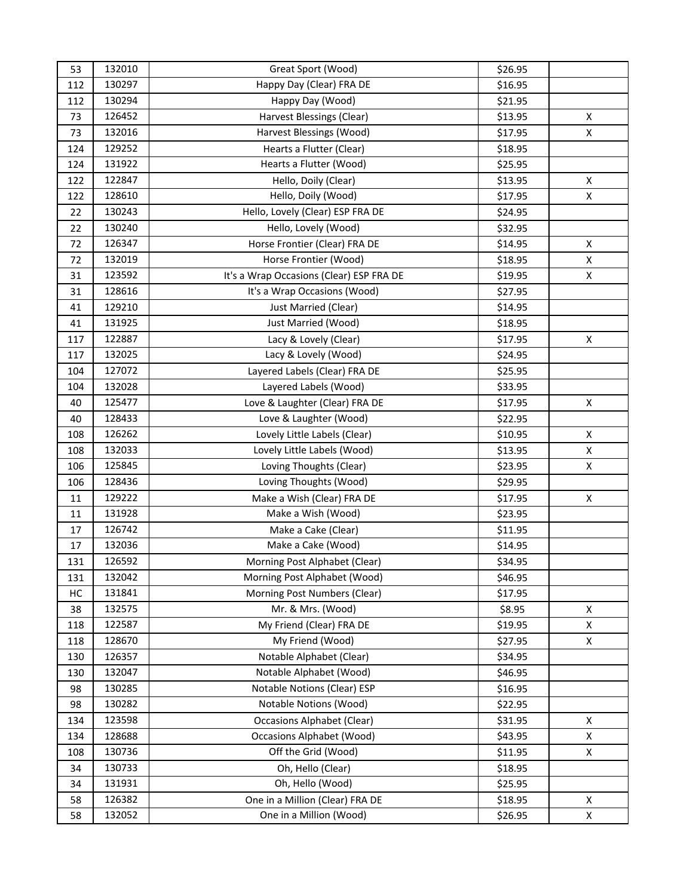| 53  | 132010 | Great Sport (Wood)                       | \$26.95 |                    |
|-----|--------|------------------------------------------|---------|--------------------|
| 112 | 130297 | Happy Day (Clear) FRA DE                 | \$16.95 |                    |
| 112 | 130294 | Happy Day (Wood)                         | \$21.95 |                    |
| 73  | 126452 | Harvest Blessings (Clear)                | \$13.95 | $\pmb{\mathsf{X}}$ |
| 73  | 132016 | Harvest Blessings (Wood)                 | \$17.95 | X                  |
| 124 | 129252 | Hearts a Flutter (Clear)                 | \$18.95 |                    |
| 124 | 131922 | Hearts a Flutter (Wood)                  | \$25.95 |                    |
| 122 | 122847 | Hello, Doily (Clear)                     | \$13.95 | X                  |
| 122 | 128610 | Hello, Doily (Wood)                      | \$17.95 | X                  |
| 22  | 130243 | Hello, Lovely (Clear) ESP FRA DE         | \$24.95 |                    |
| 22  | 130240 | Hello, Lovely (Wood)                     | \$32.95 |                    |
| 72  | 126347 | Horse Frontier (Clear) FRA DE            | \$14.95 | Χ                  |
| 72  | 132019 | Horse Frontier (Wood)                    | \$18.95 | X                  |
| 31  | 123592 | It's a Wrap Occasions (Clear) ESP FRA DE | \$19.95 | X                  |
| 31  | 128616 | It's a Wrap Occasions (Wood)             | \$27.95 |                    |
| 41  | 129210 | Just Married (Clear)                     | \$14.95 |                    |
| 41  | 131925 | Just Married (Wood)                      | \$18.95 |                    |
| 117 | 122887 | Lacy & Lovely (Clear)                    | \$17.95 | Χ                  |
| 117 | 132025 | Lacy & Lovely (Wood)                     | \$24.95 |                    |
| 104 | 127072 | Layered Labels (Clear) FRA DE            | \$25.95 |                    |
| 104 | 132028 | Layered Labels (Wood)                    | \$33.95 |                    |
| 40  | 125477 | Love & Laughter (Clear) FRA DE           | \$17.95 | Χ                  |
| 40  | 128433 | Love & Laughter (Wood)                   | \$22.95 |                    |
| 108 | 126262 | Lovely Little Labels (Clear)             | \$10.95 | Χ                  |
| 108 | 132033 | Lovely Little Labels (Wood)              | \$13.95 | X                  |
| 106 | 125845 | Loving Thoughts (Clear)                  | \$23.95 | X                  |
| 106 | 128436 | Loving Thoughts (Wood)                   | \$29.95 |                    |
| 11  | 129222 | Make a Wish (Clear) FRA DE               | \$17.95 | X                  |
| 11  | 131928 | Make a Wish (Wood)                       | \$23.95 |                    |
| 17  | 126742 | Make a Cake (Clear)                      | \$11.95 |                    |
| 17  | 132036 | Make a Cake (Wood)                       | \$14.95 |                    |
| 131 | 126592 | Morning Post Alphabet (Clear)            | \$34.95 |                    |
| 131 | 132042 | Morning Post Alphabet (Wood)             | \$46.95 |                    |
| HC  | 131841 | Morning Post Numbers (Clear)             | \$17.95 |                    |
| 38  | 132575 | Mr. & Mrs. (Wood)                        | \$8.95  | $\mathsf{x}$       |
| 118 | 122587 | My Friend (Clear) FRA DE                 | \$19.95 | $\mathsf{x}$       |
| 118 | 128670 | My Friend (Wood)                         | \$27.95 | X                  |
| 130 | 126357 | Notable Alphabet (Clear)                 | \$34.95 |                    |
| 130 | 132047 | Notable Alphabet (Wood)                  | \$46.95 |                    |
| 98  | 130285 | Notable Notions (Clear) ESP              | \$16.95 |                    |
| 98  | 130282 | Notable Notions (Wood)                   | \$22.95 |                    |
| 134 | 123598 | <b>Occasions Alphabet (Clear)</b>        | \$31.95 | X                  |
| 134 | 128688 | <b>Occasions Alphabet (Wood)</b>         | \$43.95 | X                  |
| 108 | 130736 | Off the Grid (Wood)                      | \$11.95 | X                  |
| 34  | 130733 | Oh, Hello (Clear)                        | \$18.95 |                    |
| 34  | 131931 | Oh, Hello (Wood)                         | \$25.95 |                    |
| 58  | 126382 | One in a Million (Clear) FRA DE          | \$18.95 | X                  |
| 58  | 132052 | One in a Million (Wood)                  | \$26.95 | X                  |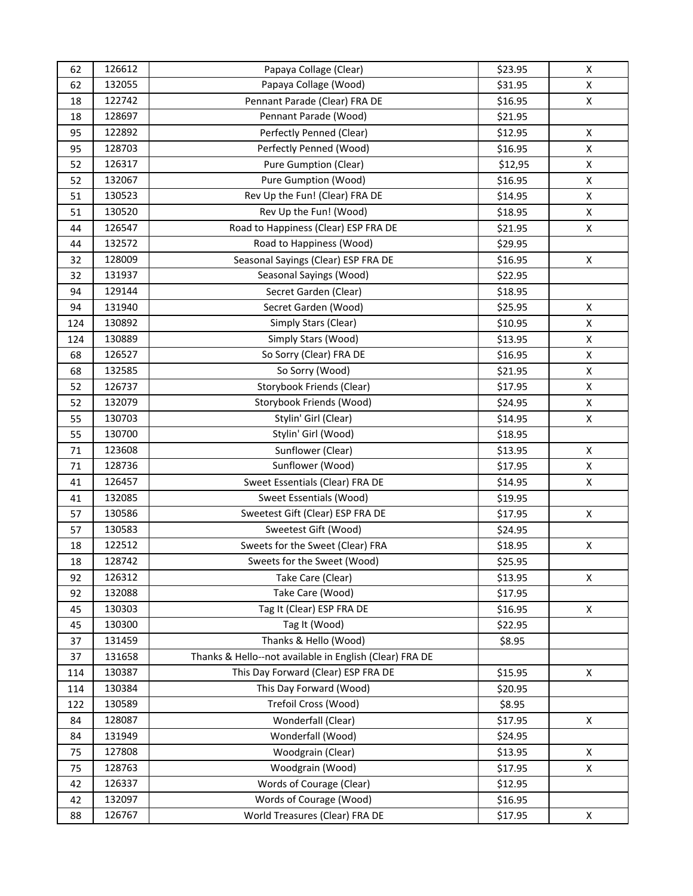| 62  | 126612 | Papaya Collage (Clear)                                  | \$23.95 | X            |
|-----|--------|---------------------------------------------------------|---------|--------------|
| 62  | 132055 | Papaya Collage (Wood)                                   | \$31.95 | X            |
| 18  | 122742 | Pennant Parade (Clear) FRA DE                           | \$16.95 | $\mathsf{x}$ |
| 18  | 128697 | Pennant Parade (Wood)                                   | \$21.95 |              |
| 95  | 122892 | Perfectly Penned (Clear)                                | \$12.95 | X            |
| 95  | 128703 | Perfectly Penned (Wood)                                 | \$16.95 | $\mathsf{x}$ |
| 52  | 126317 | <b>Pure Gumption (Clear)</b>                            | \$12,95 | X            |
| 52  | 132067 | Pure Gumption (Wood)                                    | \$16.95 | X            |
| 51  | 130523 | Rev Up the Fun! (Clear) FRA DE                          | \$14.95 | X            |
| 51  | 130520 | Rev Up the Fun! (Wood)                                  | \$18.95 | X            |
| 44  | 126547 | Road to Happiness (Clear) ESP FRA DE                    | \$21.95 | X            |
| 44  | 132572 | Road to Happiness (Wood)                                | \$29.95 |              |
| 32  | 128009 | Seasonal Sayings (Clear) ESP FRA DE                     | \$16.95 | X            |
| 32  | 131937 | Seasonal Sayings (Wood)                                 | \$22.95 |              |
| 94  | 129144 | Secret Garden (Clear)                                   | \$18.95 |              |
| 94  | 131940 | Secret Garden (Wood)                                    | \$25.95 | X            |
| 124 | 130892 | Simply Stars (Clear)                                    | \$10.95 | $\mathsf{x}$ |
| 124 | 130889 | Simply Stars (Wood)                                     | \$13.95 | $\mathsf{x}$ |
| 68  | 126527 | So Sorry (Clear) FRA DE                                 | \$16.95 | X            |
| 68  | 132585 | So Sorry (Wood)                                         | \$21.95 | $\mathsf{x}$ |
| 52  | 126737 | Storybook Friends (Clear)                               | \$17.95 | X            |
| 52  | 132079 | Storybook Friends (Wood)                                | \$24.95 | X            |
| 55  | 130703 | Stylin' Girl (Clear)                                    | \$14.95 | $\mathsf{X}$ |
| 55  | 130700 | Stylin' Girl (Wood)                                     | \$18.95 |              |
| 71  | 123608 | Sunflower (Clear)                                       | \$13.95 | X            |
| 71  | 128736 | Sunflower (Wood)                                        | \$17.95 | $\mathsf{X}$ |
| 41  | 126457 | Sweet Essentials (Clear) FRA DE                         | \$14.95 | X            |
| 41  | 132085 | Sweet Essentials (Wood)                                 | \$19.95 |              |
| 57  | 130586 | Sweetest Gift (Clear) ESP FRA DE                        | \$17.95 | X            |
| 57  | 130583 | Sweetest Gift (Wood)                                    | \$24.95 |              |
| 18  | 122512 | Sweets for the Sweet (Clear) FRA                        | \$18.95 | X            |
| 18  | 128742 | Sweets for the Sweet (Wood)                             | \$25.95 |              |
| 92  | 126312 | Take Care (Clear)                                       | \$13.95 | X            |
| 92  | 132088 | Take Care (Wood)                                        | \$17.95 |              |
| 45  | 130303 | Tag It (Clear) ESP FRA DE                               | \$16.95 | X            |
| 45  | 130300 | Tag It (Wood)                                           | \$22.95 |              |
| 37  | 131459 | Thanks & Hello (Wood)                                   | \$8.95  |              |
| 37  | 131658 | Thanks & Hello--not available in English (Clear) FRA DE |         |              |
| 114 | 130387 | This Day Forward (Clear) ESP FRA DE                     | \$15.95 | X            |
| 114 | 130384 | This Day Forward (Wood)                                 | \$20.95 |              |
| 122 | 130589 | Trefoil Cross (Wood)                                    | \$8.95  |              |
| 84  | 128087 | Wonderfall (Clear)                                      | \$17.95 | X            |
| 84  | 131949 | Wonderfall (Wood)                                       | \$24.95 |              |
| 75  | 127808 | Woodgrain (Clear)                                       | \$13.95 | X            |
| 75  | 128763 | Woodgrain (Wood)                                        | \$17.95 | X            |
| 42  | 126337 | Words of Courage (Clear)                                | \$12.95 |              |
| 42  | 132097 | Words of Courage (Wood)                                 | \$16.95 |              |
| 88  | 126767 | World Treasures (Clear) FRA DE                          | \$17.95 | X            |